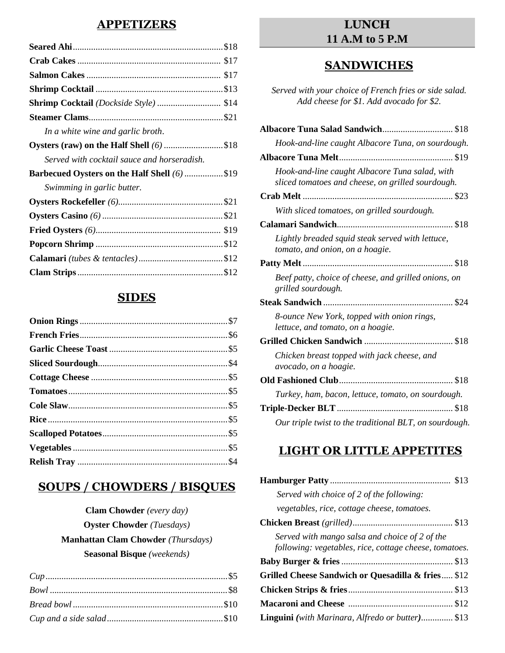## **APPETIZERS**

## **SIDES**

# **SOUPS / CHOWDERS / BISQUES**

# **Clam Chowder** *(every day)* **Oyster Chowder** *(Tuesdays)*  **Manhattan Clam Chowder** *(Thursdays)*  **Seasonal Bisque** *(weekends)*

# **LUNCH 11 A.M to 5 P.M**

## **SANDWICHES**

*Served with your choice of French fries or side salad. Add cheese for \$1. Add avocado for \$2.*

| Albacore Tuna Salad Sandwich \$18                                                                   |
|-----------------------------------------------------------------------------------------------------|
| Hook-and-line caught Albacore Tuna, on sourdough.                                                   |
|                                                                                                     |
| Hook-and-line caught Albacore Tuna salad, with<br>sliced tomatoes and cheese, on grilled sourdough. |
|                                                                                                     |
| With sliced tomatoes, on grilled sourdough.                                                         |
|                                                                                                     |
| Lightly breaded squid steak served with lettuce,<br>tomato, and onion, on a hoagie.                 |
|                                                                                                     |
| Beef patty, choice of cheese, and grilled onions, on<br>grilled sourdough.                          |
|                                                                                                     |
| 8-ounce New York, topped with onion rings,<br>lettuce, and tomato, on a hoagie.                     |
|                                                                                                     |
| Chicken breast topped with jack cheese, and<br>avocado, on a hoagie.                                |
|                                                                                                     |
| Turkey, ham, bacon, lettuce, tomato, on sourdough.                                                  |
|                                                                                                     |
| Our triple twist to the traditional BLT, on sourdough.                                              |

# **LIGHT OR LITTLE APPETITES**

| Served with choice of 2 of the following:                                                                |
|----------------------------------------------------------------------------------------------------------|
| vegetables, rice, cottage cheese, tomatoes.                                                              |
|                                                                                                          |
| Served with mango salsa and choice of 2 of the<br>following: vegetables, rice, cottage cheese, tomatoes. |
|                                                                                                          |
| Grilled Cheese Sandwich or Quesadilla & fries \$12                                                       |
|                                                                                                          |
|                                                                                                          |
| <b>Linguini</b> (with Marinara, Alfredo or butter) \$13                                                  |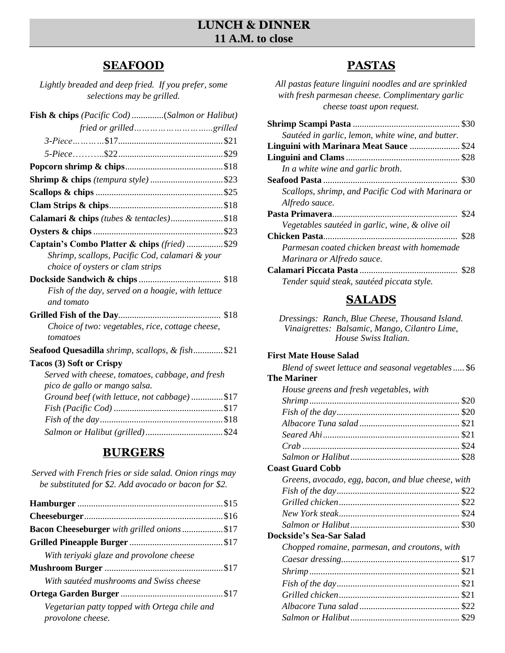# **LUNCH & DINNER 11 A.M. to close**

## **SEAFOOD**

*Lightly breaded and deep fried. If you prefer, some selections may be grilled.* 

| Fish & chips (Pacific Cod) (Salmon or Halibut)         |
|--------------------------------------------------------|
|                                                        |
|                                                        |
|                                                        |
|                                                        |
|                                                        |
|                                                        |
|                                                        |
| Calamari & chips (tubes & tentacles)\$18               |
|                                                        |
| Captain's Combo Platter & chips (fried) \$29           |
| Shrimp, scallops, Pacific Cod, calamari & your         |
| choice of oysters or clam strips                       |
|                                                        |
| Fish of the day, served on a hoagie, with lettuce      |
| and tomato                                             |
|                                                        |
| Choice of two: vegetables, rice, cottage cheese,       |
| tomatoes                                               |
| <b>Seafood Quesadilla</b> shrimp, scallops, & fish\$21 |
| Tacos (3) Soft or Crispy                               |
| Served with cheese, tomatoes, cabbage, and fresh       |
| pico de gallo or mango salsa.                          |
| Ground beef (with lettuce, not cabbage)\$17            |
|                                                        |
|                                                        |
|                                                        |

# **BURGERS**

| Served with French fries or side salad. Onion rings may |
|---------------------------------------------------------|
| be substituted for \$2. Add avocado or bacon for \$2.   |

| Bacon Cheeseburger with grilled onions \$17                               |  |
|---------------------------------------------------------------------------|--|
|                                                                           |  |
| With teriyaki glaze and provolone cheese                                  |  |
|                                                                           |  |
| With sautéed mushrooms and Swiss cheese                                   |  |
|                                                                           |  |
| Vegetarian patty topped with Ortega chile and<br><i>provolone cheese.</i> |  |

# **PASTAS**

*All pastas feature linguini noodles and are sprinkled with fresh parmesan cheese. Complimentary garlic cheese toast upon request.*

| Sautéed in garlic, lemon, white wine, and butter.  |      |
|----------------------------------------------------|------|
| Linguini with Marinara Meat Sauce \$24             |      |
|                                                    |      |
| In a white wine and garlic broth.                  |      |
|                                                    | \$30 |
| Scallops, shrimp, and Pacific Cod with Marinara or |      |
| Alfredo sauce.                                     |      |
|                                                    | \$24 |
| Vegetables sautéed in garlic, wine, & olive oil    |      |
|                                                    |      |
| Parmesan coated chicken breast with homemade       |      |
| Marinara or Alfredo sauce.                         |      |
|                                                    | \$28 |
| Tender squid steak, sautéed piccata style.         |      |

# **SALADS**

*Dressings: Ranch, Blue Cheese, Thousand Island. Vinaigrettes: Balsamic, Mango, Cilantro Lime, House Swiss Italian.*

### **First Mate House Salad**

| Greens, avocado, egg, bacon, and blue cheese, with |
|----------------------------------------------------|
|                                                    |
|                                                    |
|                                                    |
|                                                    |
|                                                    |
|                                                    |
|                                                    |
|                                                    |
|                                                    |
|                                                    |
|                                                    |
|                                                    |
|                                                    |